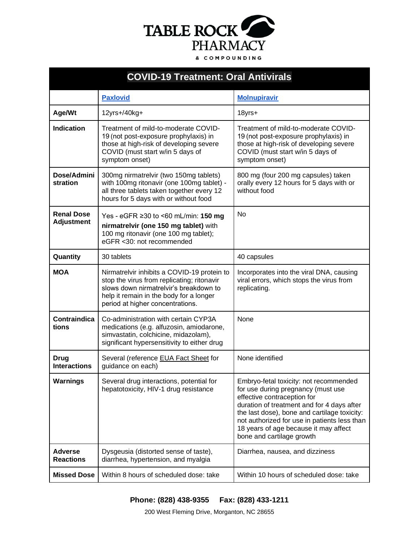

| <b>COVID-19 Treatment: Oral Antivirals</b> |                                                                                                                                                                                                                    |                                                                                                                                                                                                                                                                                                                                 |
|--------------------------------------------|--------------------------------------------------------------------------------------------------------------------------------------------------------------------------------------------------------------------|---------------------------------------------------------------------------------------------------------------------------------------------------------------------------------------------------------------------------------------------------------------------------------------------------------------------------------|
|                                            | <b>Paxlovid</b>                                                                                                                                                                                                    | <b>Molnupiravir</b>                                                                                                                                                                                                                                                                                                             |
| Age/Wt                                     | 12yrs+/40kg+                                                                                                                                                                                                       | 18yrs+                                                                                                                                                                                                                                                                                                                          |
| Indication                                 | Treatment of mild-to-moderate COVID-<br>19 (not post-exposure prophylaxis) in<br>those at high-risk of developing severe<br>COVID (must start w/in 5 days of<br>symptom onset)                                     | Treatment of mild-to-moderate COVID-<br>19 (not post-exposure prophylaxis) in<br>those at high-risk of developing severe<br>COVID (must start w/in 5 days of<br>symptom onset)                                                                                                                                                  |
| Dose/Admini<br>stration                    | 300mg nirmatrelvir (two 150mg tablets)<br>with 100mg ritonavir (one 100mg tablet) -<br>all three tablets taken together every 12<br>hours for 5 days with or without food                                          | 800 mg (four 200 mg capsules) taken<br>orally every 12 hours for 5 days with or<br>without food                                                                                                                                                                                                                                 |
| <b>Renal Dose</b><br><b>Adjustment</b>     | Yes - eGFR ≥30 to <60 mL/min: 150 mg<br>nirmatrelvir (one 150 mg tablet) with<br>100 mg ritonavir (one 100 mg tablet);<br>eGFR < 30: not recommended                                                               | <b>No</b>                                                                                                                                                                                                                                                                                                                       |
| Quantity                                   | 30 tablets                                                                                                                                                                                                         | 40 capsules                                                                                                                                                                                                                                                                                                                     |
| <b>MOA</b>                                 | Nirmatrelvir inhibits a COVID-19 protein to<br>stop the virus from replicating; ritonavir<br>slows down nirmatrelvir's breakdown to<br>help it remain in the body for a longer<br>period at higher concentrations. | Incorporates into the viral DNA, causing<br>viral errors, which stops the virus from<br>replicating.                                                                                                                                                                                                                            |
| <b>Contraindica</b><br>tions               | Co-administration with certain CYP3A<br>medications (e.g. alfuzosin, amiodarone,<br>simvastatin, colchicine, midazolam),<br>significant hypersensitivity to either drug                                            | <b>None</b>                                                                                                                                                                                                                                                                                                                     |
| <b>Drug</b><br><b>Interactions</b>         | Several (reference EUA Fact Sheet for<br>guidance on each)                                                                                                                                                         | None identified                                                                                                                                                                                                                                                                                                                 |
| <b>Warnings</b>                            | Several drug interactions, potential for<br>hepatotoxicity, HIV-1 drug resistance                                                                                                                                  | Embryo-fetal toxicity: not recommended<br>for use during pregnancy (must use<br>effective contraception for<br>duration of treatment and for 4 days after<br>the last dose), bone and cartilage toxicity:<br>not authorized for use in patients less than<br>18 years of age because it may affect<br>bone and cartilage growth |
| <b>Adverse</b><br><b>Reactions</b>         | Dysgeusia (distorted sense of taste),<br>diarrhea, hypertension, and myalgia                                                                                                                                       | Diarrhea, nausea, and dizziness                                                                                                                                                                                                                                                                                                 |
| <b>Missed Dose</b>                         | Within 8 hours of scheduled dose: take                                                                                                                                                                             | Within 10 hours of scheduled dose: take                                                                                                                                                                                                                                                                                         |